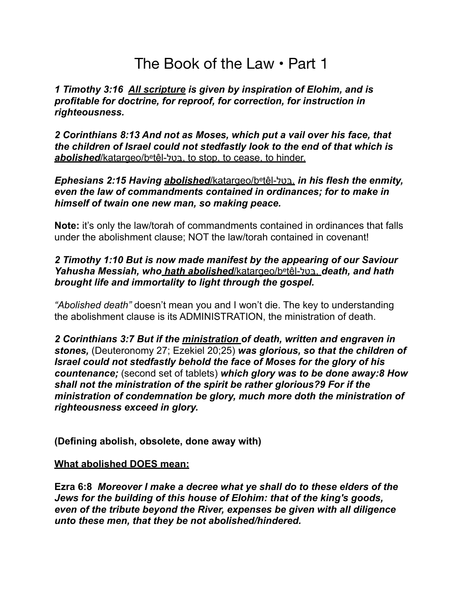# The Book of the Law • Part 1

*1 Timothy 3:16 All scripture is given by inspiration of Elohim, and is profitable for doctrine, for reproof, for correction, for instruction in righteousness.* 

*2 Corinthians 8:13 And not as Moses, which put a vail over his face, that the children of Israel could not stedfastly look to the end of that which is abolished*/katargeo/beṭêl-בּטל, to stop, to cease, to hinder.

*Ephesians 2:15 Having abolished*/katargeo/beṭêl-בּטל, *in his flesh the enmity, even the law of commandments contained in ordinances; for to make in himself of twain one new man, so making peace.* 

**Note:** it's only the law/torah of commandments contained in ordinances that falls under the abolishment clause; NOT the law/torah contained in covenant!

#### *2 Timothy 1:10 But is now made manifest by the appearing of our Saviour Yahusha Messiah, who hath abolished*/katargeo/beṭêl-בּטל, *death, and hath brought life and immortality to light through the gospel.*

*"Abolished death"* doesn't mean you and I won't die. The key to understanding the abolishment clause is its ADMINISTRATION, the ministration of death.

*2 Corinthians 3:7 But if the ministration of death, written and engraven in stones,* (Deuteronomy 27; Ezekiel 20;25) *was glorious, so that the children of Israel could not stedfastly behold the face of Moses for the glory of his countenance;* (second set of tablets) *which glory was to be done away:8 How shall not the ministration of the spirit be rather glorious?9 For if the ministration of condemnation be glory, much more doth the ministration of righteousness exceed in glory.*

**(Defining abolish, obsolete, done away with)** 

#### **What abolished DOES mean:**

**Ezra 6:8** *Moreover I make a decree what ye shall do to these elders of the Jews for the building of this house of Elohim: that of the king's goods, even of the tribute beyond the River, expenses be given with all diligence unto these men, that they be not abolished/hindered.*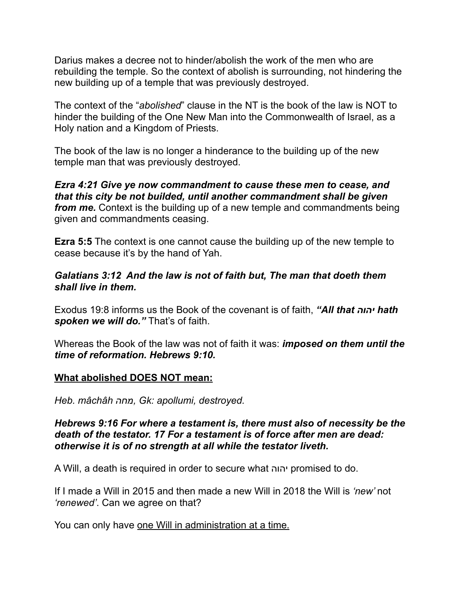Darius makes a decree not to hinder/abolish the work of the men who are rebuilding the temple. So the context of abolish is surrounding, not hindering the new building up of a temple that was previously destroyed.

The context of the "*abolished*" clause in the NT is the book of the law is NOT to hinder the building of the One New Man into the Commonwealth of Israel, as a Holy nation and a Kingdom of Priests.

The book of the law is no longer a hinderance to the building up of the new temple man that was previously destroyed.

*Ezra 4:21 Give ye now commandment to cause these men to cease, and that this city be not builded, until another commandment shall be given from me.* Context is the building up of a new temple and commandments being given and commandments ceasing.

**Ezra 5:5** The context is one cannot cause the building up of the new temple to cease because it's by the hand of Yah.

### *Galatians 3:12 And the law is not of faith but, The man that doeth them shall live in them.*

Exodus 19:8 informs us the Book of the covenant is of faith, *"All that יהוה hath* spoken we will do." That's of faith.

Whereas the Book of the law was not of faith it was: *imposed on them until the time of reformation. Hebrews 9:10.* 

#### **What abolished DOES NOT mean:**

*Heb. mâchâh מחה, Gk: apollumi, destroyed.* 

*Hebrews 9:16 For where a testament is, there must also of necessity be the death of the testator. 17 For a testament is of force after men are dead: otherwise it is of no strength at all while the testator liveth.*

A Will, a death is required in order to secure what יהוה promised to do.

If I made a Will in 2015 and then made a new Will in 2018 the Will is *'new'* not *'renewed'*. Can we agree on that?

You can only have one Will in administration at a time.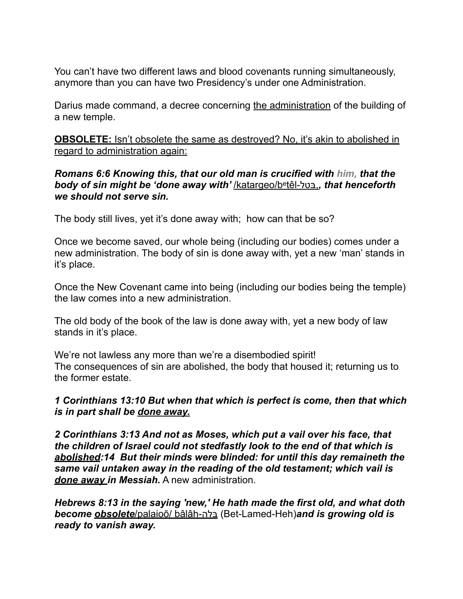You can't have two different laws and blood covenants running simultaneously, anymore than you can have two Presidency's under one Administration.

Darius made command, a decree concerning the administration of the building of a new temple.

**OBSOLETE:** Isn't obsolete the same as destroyed? No, it's akin to abolished in regard to administration again:

#### *Romans 6:6 Knowing this, that our old man is crucified with him, that the body of sin might be 'done away with'* /katargeo/beṭêl-בּטל,*, that henceforth we should not serve sin.*

The body still lives, yet it's done away with; how can that be so?

Once we become saved, our whole being (including our bodies) comes under a new administration. The body of sin is done away with, yet a new 'man' stands in it's place.

Once the New Covenant came into being (including our bodies being the temple) the law comes into a new administration.

The old body of the book of the law is done away with, yet a new body of law stands in it's place.

We're not lawless any more than we're a disembodied spirit! The consequences of sin are abolished, the body that housed it; returning us to the former estate.

# *1 Corinthians 13:10 But when that which is perfect is come, then that which is in part shall be done away.*

*2 Corinthians 3:13 And not as Moses, which put a vail over his face, that the children of Israel could not stedfastly look to the end of that which is abolished:14 But their minds were blinded: for until this day remaineth the same vail untaken away in the reading of the old testament; which vail is done away in Messiah.* A new administration.

*Hebrews 8:13 in the saying 'new,' He hath made the first old, and what doth become obsolete*/palaioō/ bâlâh-בּלה) Bet-Lamed-Heh)*and is growing old is ready to vanish away.*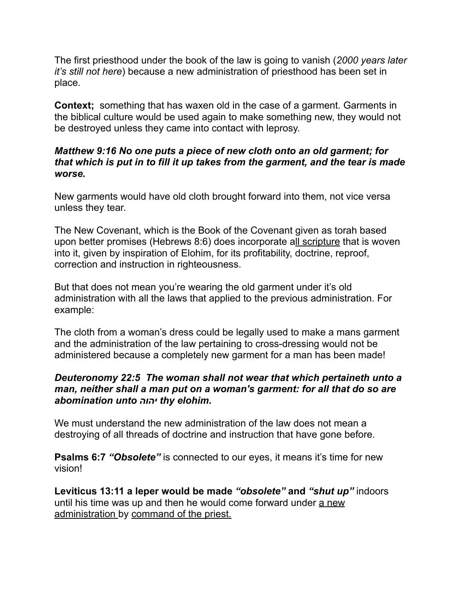The first priesthood under the book of the law is going to vanish (*2000 years later it's still not here*) because a new administration of priesthood has been set in place.

**Context;** something that has waxen old in the case of a garment. Garments in the biblical culture would be used again to make something new, they would not be destroyed unless they came into contact with leprosy.

## *Matthew 9:16 No one puts a piece of new cloth onto an old garment; for that which is put in to fill it up takes from the garment, and the tear is made worse.*

New garments would have old cloth brought forward into them, not vice versa unless they tear.

The New Covenant, which is the Book of the Covenant given as torah based upon better promises (Hebrews 8:6) does incorporate all scripture that is woven into it, given by inspiration of Elohim, for its profitability, doctrine, reproof, correction and instruction in righteousness.

But that does not mean you're wearing the old garment under it's old administration with all the laws that applied to the previous administration. For example:

The cloth from a woman's dress could be legally used to make a mans garment and the administration of the law pertaining to cross-dressing would not be administered because a completely new garment for a man has been made!

## *Deuteronomy 22:5 The woman shall not wear that which pertaineth unto a man, neither shall a man put on a woman's garment: for all that do so are abomination unto יהוה thy elohim.*

We must understand the new administration of the law does not mean a destroying of all threads of doctrine and instruction that have gone before.

**Psalms 6:7 "Obsolete"** is connected to our eyes, it means it's time for new vision!

**Leviticus 13:11 a leper would be made** *"obsolete"* **and** *"shut up"* indoors until his time was up and then he would come forward under a new administration by command of the priest.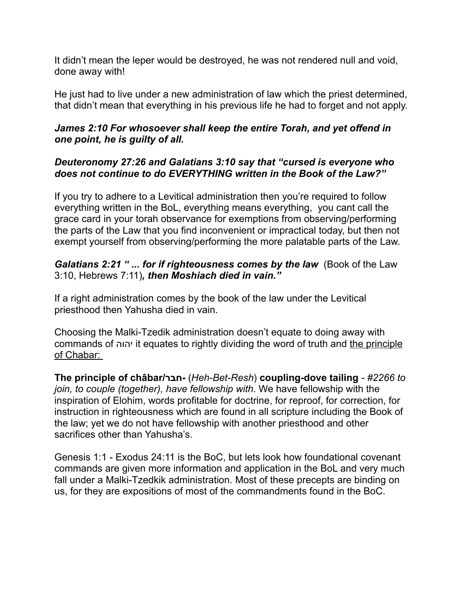It didn't mean the leper would be destroyed, he was not rendered null and void, done away with!

He just had to live under a new administration of law which the priest determined, that didn't mean that everything in his previous life he had to forget and not apply.

# *James 2:10 For whosoever shall keep the entire Torah, and yet offend in one point, he is guilty of all.*

# *Deuteronomy 27:26 and Galatians 3:10 say that "cursed is everyone who does not continue to do EVERYTHING written in the Book of the Law?"*

If you try to adhere to a Levitical administration then you're required to follow everything written in the BoL, everything means everything, you cant call the grace card in your torah observance for exemptions from observing/performing the parts of the Law that you find inconvenient or impractical today, but then not exempt yourself from observing/performing the more palatable parts of the Law.

## *Galatians 2:21 " ... for if righteousness comes by the law* (Book of the Law 3:10, Hebrews 7:11)*, then Moshiach died in vain."*

If a right administration comes by the book of the law under the Levitical priesthood then Yahusha died in vain.

Choosing the Malki-Tzedik administration doesn't equate to doing away with commands of יהוה it equates to rightly dividing the word of truth and the principle of Chabar:

**The principle of châbar/חבר-**)*Heh-Bet-Resh*) **coupling-dove tailing** *- #2266 to join, to couple (together), have fellowship with*. We have fellowship with the inspiration of Elohim, words profitable for doctrine, for reproof, for correction, for instruction in righteousness which are found in all scripture including the Book of the law; yet we do not have fellowship with another priesthood and other sacrifices other than Yahusha's.

Genesis 1:1 - Exodus 24:11 is the BoC, but lets look how foundational covenant commands are given more information and application in the BoL and very much fall under a Malki-Tzedkik administration. Most of these precepts are binding on us, for they are expositions of most of the commandments found in the BoC.